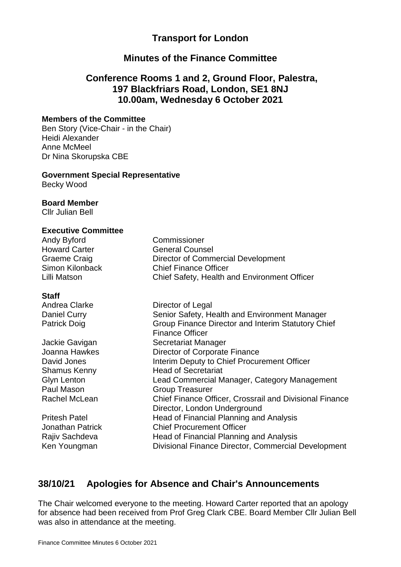### **Transport for London**

### **Minutes of the Finance Committee**

### **Conference Rooms 1 and 2, Ground Floor, Palestra, 197 Blackfriars Road, London, SE1 8NJ 10.00am, Wednesday 6 October 2021**

#### **Members of the Committee**

Ben Story (Vice-Chair - in the Chair) Heidi Alexander Anne McMeel Dr Nina Skorupska CBE

#### **Government Special Representative**

Becky Wood

#### **Board Member**

Cllr Julian Bell

#### **Executive Committee**

| Andy Byford          | Commissioner                                 |
|----------------------|----------------------------------------------|
| <b>Howard Carter</b> | <b>General Counsel</b>                       |
| Graeme Craig         | Director of Commercial Development           |
| Simon Kilonback      | <b>Chief Finance Officer</b>                 |
| Lilli Matson         | Chief Safety, Health and Environment Officer |

#### **Staff**

| Andrea Clarke        | Director of Legal                                                                       |
|----------------------|-----------------------------------------------------------------------------------------|
| Daniel Curry         | Senior Safety, Health and Environment Manager                                           |
| <b>Patrick Doig</b>  | Group Finance Director and Interim Statutory Chief<br><b>Finance Officer</b>            |
| Jackie Gavigan       | Secretariat Manager                                                                     |
| Joanna Hawkes        | Director of Corporate Finance                                                           |
| David Jones          | Interim Deputy to Chief Procurement Officer                                             |
| Shamus Kenny         | <b>Head of Secretariat</b>                                                              |
| Glyn Lenton          | Lead Commercial Manager, Category Management                                            |
| Paul Mason           | <b>Group Treasurer</b>                                                                  |
| Rachel McLean        | Chief Finance Officer, Crossrail and Divisional Finance<br>Director, London Underground |
| <b>Pritesh Patel</b> | Head of Financial Planning and Analysis                                                 |
| Jonathan Patrick     | <b>Chief Procurement Officer</b>                                                        |
| Rajiv Sachdeva       | Head of Financial Planning and Analysis                                                 |
| Ken Youngman         | Divisional Finance Director, Commercial Development                                     |
|                      |                                                                                         |

# **38/10/21 Apologies for Absence and Chair's Announcements**

The Chair welcomed everyone to the meeting. Howard Carter reported that an apology for absence had been received from Prof Greg Clark CBE. Board Member Cllr Julian Bell was also in attendance at the meeting.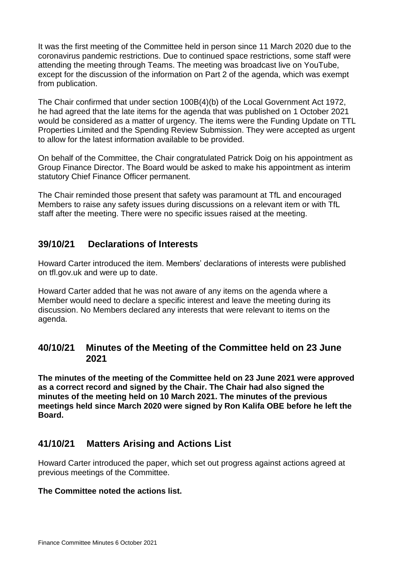It was the first meeting of the Committee held in person since 11 March 2020 due to the coronavirus pandemic restrictions. Due to continued space restrictions, some staff were attending the meeting through Teams. The meeting was broadcast live on YouTube, except for the discussion of the information on Part 2 of the agenda, which was exempt from publication.

The Chair confirmed that under section 100B(4)(b) of the Local Government Act 1972, he had agreed that the late items for the agenda that was published on 1 October 2021 would be considered as a matter of urgency. The items were the Funding Update on TTL Properties Limited and the Spending Review Submission. They were accepted as urgent to allow for the latest information available to be provided.

On behalf of the Committee, the Chair congratulated Patrick Doig on his appointment as Group Finance Director. The Board would be asked to make his appointment as interim statutory Chief Finance Officer permanent.

The Chair reminded those present that safety was paramount at TfL and encouraged Members to raise any safety issues during discussions on a relevant item or with TfL staff after the meeting. There were no specific issues raised at the meeting.

### **39/10/21 Declarations of Interests**

Howard Carter introduced the item. Members' declarations of interests were published on tfl.gov.uk and were up to date.

Howard Carter added that he was not aware of any items on the agenda where a Member would need to declare a specific interest and leave the meeting during its discussion. No Members declared any interests that were relevant to items on the agenda.

### **40/10/21 Minutes of the Meeting of the Committee held on 23 June 2021**

**The minutes of the meeting of the Committee held on 23 June 2021 were approved as a correct record and signed by the Chair. The Chair had also signed the minutes of the meeting held on 10 March 2021. The minutes of the previous meetings held since March 2020 were signed by Ron Kalifa OBE before he left the Board.**

# **41/10/21 Matters Arising and Actions List**

Howard Carter introduced the paper, which set out progress against actions agreed at previous meetings of the Committee.

### **The Committee noted the actions list.**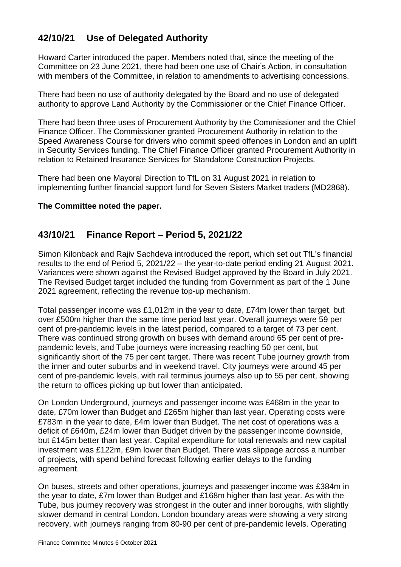# **42/10/21 Use of Delegated Authority**

Howard Carter introduced the paper. Members noted that, since the meeting of the Committee on 23 June 2021, there had been one use of Chair's Action, in consultation with members of the Committee, in relation to amendments to advertising concessions.

There had been no use of authority delegated by the Board and no use of delegated authority to approve Land Authority by the Commissioner or the Chief Finance Officer.

There had been three uses of Procurement Authority by the Commissioner and the Chief Finance Officer. The Commissioner granted Procurement Authority in relation to the Speed Awareness Course for drivers who commit speed offences in London and an uplift in Security Services funding. The Chief Finance Officer granted Procurement Authority in relation to Retained Insurance Services for Standalone Construction Projects.

There had been one Mayoral Direction to TfL on 31 August 2021 in relation to implementing further financial support fund for Seven Sisters Market traders (MD2868).

### **The Committee noted the paper.**

### **43/10/21 Finance Report – Period 5, 2021/22**

Simon Kilonback and Rajiv Sachdeva introduced the report, which set out TfL's financial results to the end of Period 5, 2021/22 – the year-to-date period ending 21 August 2021. Variances were shown against the Revised Budget approved by the Board in July 2021. The Revised Budget target included the funding from Government as part of the 1 June 2021 agreement, reflecting the revenue top-up mechanism.

Total passenger income was £1,012m in the year to date, £74m lower than target, but over £500m higher than the same time period last year. Overall journeys were 59 per cent of pre-pandemic levels in the latest period, compared to a target of 73 per cent. There was continued strong growth on buses with demand around 65 per cent of prepandemic levels, and Tube journeys were increasing reaching 50 per cent, but significantly short of the 75 per cent target. There was recent Tube journey growth from the inner and outer suburbs and in weekend travel. City journeys were around 45 per cent of pre-pandemic levels, with rail terminus journeys also up to 55 per cent, showing the return to offices picking up but lower than anticipated.

On London Underground, journeys and passenger income was £468m in the year to date, £70m lower than Budget and £265m higher than last year. Operating costs were £783m in the year to date, £4m lower than Budget. The net cost of operations was a deficit of £640m, £24m lower than Budget driven by the passenger income downside, but £145m better than last year. Capital expenditure for total renewals and new capital investment was £122m, £9m lower than Budget. There was slippage across a number of projects, with spend behind forecast following earlier delays to the funding agreement.

On buses, streets and other operations, journeys and passenger income was £384m in the year to date, £7m lower than Budget and £168m higher than last year. As with the Tube, bus journey recovery was strongest in the outer and inner boroughs, with slightly slower demand in central London. London boundary areas were showing a very strong recovery, with journeys ranging from 80-90 per cent of pre-pandemic levels. Operating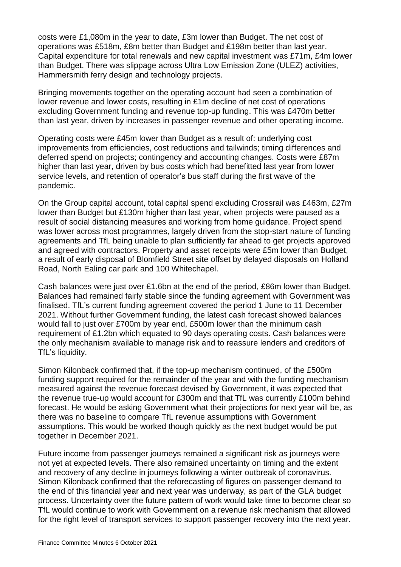costs were £1,080m in the year to date, £3m lower than Budget. The net cost of operations was £518m, £8m better than Budget and £198m better than last year. Capital expenditure for total renewals and new capital investment was £71m, £4m lower than Budget. There was slippage across Ultra Low Emission Zone (ULEZ) activities, Hammersmith ferry design and technology projects.

Bringing movements together on the operating account had seen a combination of lower revenue and lower costs, resulting in £1m decline of net cost of operations excluding Government funding and revenue top-up funding. This was £470m better than last year, driven by increases in passenger revenue and other operating income.

Operating costs were £45m lower than Budget as a result of: underlying cost improvements from efficiencies, cost reductions and tailwinds; timing differences and deferred spend on projects; contingency and accounting changes. Costs were £87m higher than last year, driven by bus costs which had benefitted last year from lower service levels, and retention of operator's bus staff during the first wave of the pandemic.

On the Group capital account, total capital spend excluding Crossrail was £463m, £27m lower than Budget but £130m higher than last year, when projects were paused as a result of social distancing measures and working from home guidance. Project spend was lower across most programmes, largely driven from the stop-start nature of funding agreements and TfL being unable to plan sufficiently far ahead to get projects approved and agreed with contractors. Property and asset receipts were £5m lower than Budget, a result of early disposal of Blomfield Street site offset by delayed disposals on Holland Road, North Ealing car park and 100 Whitechapel.

Cash balances were just over £1.6bn at the end of the period, £86m lower than Budget. Balances had remained fairly stable since the funding agreement with Government was finalised. TfL's current funding agreement covered the period 1 June to 11 December 2021. Without further Government funding, the latest cash forecast showed balances would fall to just over £700m by year end, £500m lower than the minimum cash requirement of £1.2bn which equated to 90 days operating costs. Cash balances were the only mechanism available to manage risk and to reassure lenders and creditors of TfL's liquidity.

Simon Kilonback confirmed that, if the top-up mechanism continued, of the £500m funding support required for the remainder of the year and with the funding mechanism measured against the revenue forecast devised by Government, it was expected that the revenue true-up would account for £300m and that TfL was currently £100m behind forecast. He would be asking Government what their projections for next year will be, as there was no baseline to compare TfL revenue assumptions with Government assumptions. This would be worked though quickly as the next budget would be put together in December 2021.

Future income from passenger journeys remained a significant risk as journeys were not yet at expected levels. There also remained uncertainty on timing and the extent and recovery of any decline in journeys following a winter outbreak of coronavirus. Simon Kilonback confirmed that the reforecasting of figures on passenger demand to the end of this financial year and next year was underway, as part of the GLA budget process. Uncertainty over the future pattern of work would take time to become clear so TfL would continue to work with Government on a revenue risk mechanism that allowed for the right level of transport services to support passenger recovery into the next year.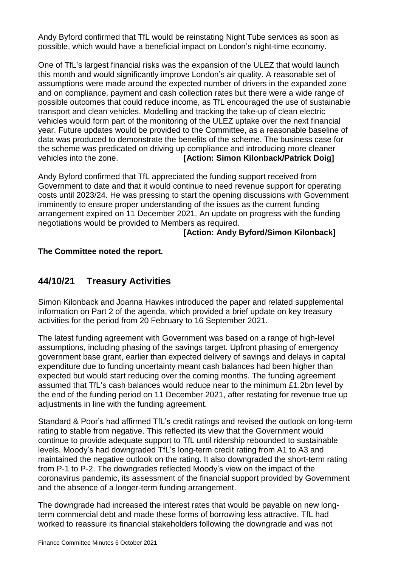Andy Byford confirmed that TfL would be reinstating Night Tube services as soon as possible, which would have a beneficial impact on London's night-time economy.

One of TfL's largest financial risks was the expansion of the ULEZ that would launch this month and would significantly improve London's air quality. A reasonable set of assumptions were made around the expected number of drivers in the expanded zone and on compliance, payment and cash collection rates but there were a wide range of possible outcomes that could reduce income, as TfL encouraged the use of sustainable transport and clean vehicles. Modelling and tracking the take-up of clean electric vehicles would form part of the monitoring of the ULEZ uptake over the next financial year. Future updates would be provided to the Committee, as a reasonable baseline of data was produced to demonstrate the benefits of the scheme. The business case for the scheme was predicated on driving up compliance and introducing more cleaner vehicles into the zone. **[Action: Simon Kilonback/Patrick Doig]**

Andy Byford confirmed that TfL appreciated the funding support received from Government to date and that it would continue to need revenue support for operating costs until 2023/24. He was pressing to start the opening discussions with Government imminently to ensure proper understanding of the issues as the current funding arrangement expired on 11 December 2021. An update on progress with the funding negotiations would be provided to Members as required.

### **[Action: Andy Byford/Simon Kilonback]**

### **The Committee noted the report.**

### **44/10/21 Treasury Activities**

Simon Kilonback and Joanna Hawkes introduced the paper and related supplemental information on Part 2 of the agenda, which provided a brief update on key treasury activities for the period from 20 February to 16 September 2021.

The latest funding agreement with Government was based on a range of high-level assumptions, including phasing of the savings target. Upfront phasing of emergency government base grant, earlier than expected delivery of savings and delays in capital expenditure due to funding uncertainty meant cash balances had been higher than expected but would start reducing over the coming months. The funding agreement assumed that TfL's cash balances would reduce near to the minimum £1.2bn level by the end of the funding period on 11 December 2021, after restating for revenue true up adjustments in line with the funding agreement.

Standard & Poor's had affirmed TfL's credit ratings and revised the outlook on long-term rating to stable from negative. This reflected its view that the Government would continue to provide adequate support to TfL until ridership rebounded to sustainable levels. Moody's had downgraded TfL's long-term credit rating from A1 to A3 and maintained the negative outlook on the rating. It also downgraded the short-term rating from P-1 to P-2. The downgrades reflected Moody's view on the impact of the coronavirus pandemic, its assessment of the financial support provided by Government and the absence of a longer-term funding arrangement.

The downgrade had increased the interest rates that would be payable on new longterm commercial debt and made these forms of borrowing less attractive. TfL had worked to reassure its financial stakeholders following the downgrade and was not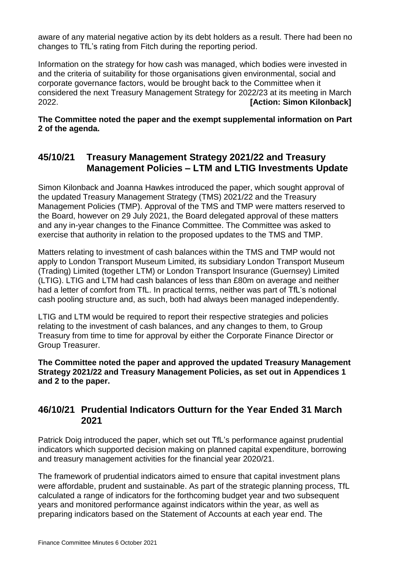aware of any material negative action by its debt holders as a result. There had been no changes to TfL's rating from Fitch during the reporting period.

Information on the strategy for how cash was managed, which bodies were invested in and the criteria of suitability for those organisations given environmental, social and corporate governance factors, would be brought back to the Committee when it considered the next Treasury Management Strategy for 2022/23 at its meeting in March 2022. **[Action: Simon Kilonback]**

**The Committee noted the paper and the exempt supplemental information on Part 2 of the agenda.**

### **45/10/21 Treasury Management Strategy 2021/22 and Treasury Management Policies – LTM and LTIG Investments Update**

Simon Kilonback and Joanna Hawkes introduced the paper, which sought approval of the updated Treasury Management Strategy (TMS) 2021/22 and the Treasury Management Policies (TMP). Approval of the TMS and TMP were matters reserved to the Board, however on 29 July 2021, the Board delegated approval of these matters and any in-year changes to the Finance Committee. The Committee was asked to exercise that authority in relation to the proposed updates to the TMS and TMP.

Matters relating to investment of cash balances within the TMS and TMP would not apply to London Transport Museum Limited, its subsidiary London Transport Museum (Trading) Limited (together LTM) or London Transport Insurance (Guernsey) Limited (LTIG). LTIG and LTM had cash balances of less than £80m on average and neither had a letter of comfort from TfL. In practical terms, neither was part of TfL's notional cash pooling structure and, as such, both had always been managed independently.

LTIG and LTM would be required to report their respective strategies and policies relating to the investment of cash balances, and any changes to them, to Group Treasury from time to time for approval by either the Corporate Finance Director or Group Treasurer.

**The Committee noted the paper and approved the updated Treasury Management Strategy 2021/22 and Treasury Management Policies, as set out in Appendices 1 and 2 to the paper.**

### **46/10/21 Prudential Indicators Outturn for the Year Ended 31 March 2021**

Patrick Doig introduced the paper, which set out TfL's performance against prudential indicators which supported decision making on planned capital expenditure, borrowing and treasury management activities for the financial year 2020/21.

The framework of prudential indicators aimed to ensure that capital investment plans were affordable, prudent and sustainable. As part of the strategic planning process, TfL calculated a range of indicators for the forthcoming budget year and two subsequent years and monitored performance against indicators within the year, as well as preparing indicators based on the Statement of Accounts at each year end. The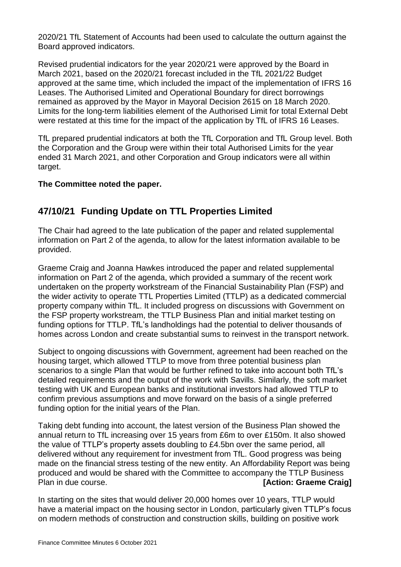2020/21 TfL Statement of Accounts had been used to calculate the outturn against the Board approved indicators.

Revised prudential indicators for the year 2020/21 were approved by the Board in March 2021, based on the 2020/21 forecast included in the TfL 2021/22 Budget approved at the same time, which included the impact of the implementation of IFRS 16 Leases. The Authorised Limited and Operational Boundary for direct borrowings remained as approved by the Mayor in Mayoral Decision 2615 on 18 March 2020. Limits for the long-term liabilities element of the Authorised Limit for total External Debt were restated at this time for the impact of the application by TfL of IFRS 16 Leases.

TfL prepared prudential indicators at both the TfL Corporation and TfL Group level. Both the Corporation and the Group were within their total Authorised Limits for the year ended 31 March 2021, and other Corporation and Group indicators were all within target.

### **The Committee noted the paper.**

# **47/10/21 Funding Update on TTL Properties Limited**

The Chair had agreed to the late publication of the paper and related supplemental information on Part 2 of the agenda, to allow for the latest information available to be provided.

Graeme Craig and Joanna Hawkes introduced the paper and related supplemental information on Part 2 of the agenda, which provided a summary of the recent work undertaken on the property workstream of the Financial Sustainability Plan (FSP) and the wider activity to operate TTL Properties Limited (TTLP) as a dedicated commercial property company within TfL. It included progress on discussions with Government on the FSP property workstream, the TTLP Business Plan and initial market testing on funding options for TTLP. TfL's landholdings had the potential to deliver thousands of homes across London and create substantial sums to reinvest in the transport network.

Subject to ongoing discussions with Government, agreement had been reached on the housing target, which allowed TTLP to move from three potential business plan scenarios to a single Plan that would be further refined to take into account both TfL's detailed requirements and the output of the work with Savills. Similarly, the soft market testing with UK and European banks and institutional investors had allowed TTLP to confirm previous assumptions and move forward on the basis of a single preferred funding option for the initial years of the Plan.

Taking debt funding into account, the latest version of the Business Plan showed the annual return to TfL increasing over 15 years from £6m to over £150m. It also showed the value of TTLP's property assets doubling to £4.5bn over the same period, all delivered without any requirement for investment from TfL. Good progress was being made on the financial stress testing of the new entity. An Affordability Report was being produced and would be shared with the Committee to accompany the TTLP Business Plan in due course. *Plan* in due course.

In starting on the sites that would deliver 20,000 homes over 10 years, TTLP would have a material impact on the housing sector in London, particularly given TTLP's focus on modern methods of construction and construction skills, building on positive work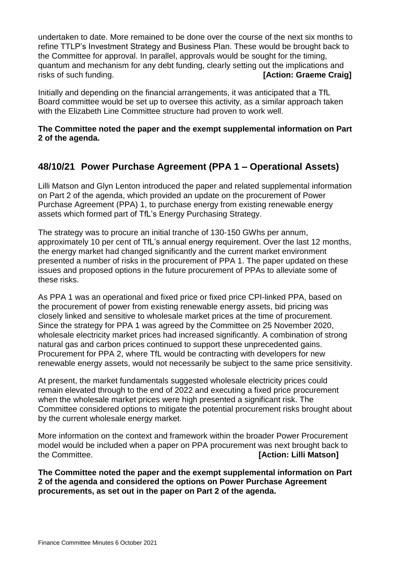undertaken to date. More remained to be done over the course of the next six months to refine TTLP's Investment Strategy and Business Plan. These would be brought back to the Committee for approval. In parallel, approvals would be sought for the timing, quantum and mechanism for any debt funding, clearly setting out the implications and risks of such funding. **[Action: Graeme Craig]**

Initially and depending on the financial arrangements, it was anticipated that a TfL Board committee would be set up to oversee this activity, as a similar approach taken with the Elizabeth Line Committee structure had proven to work well.

### **The Committee noted the paper and the exempt supplemental information on Part 2 of the agenda.**

# **48/10/21 Power Purchase Agreement (PPA 1 – Operational Assets)**

Lilli Matson and Glyn Lenton introduced the paper and related supplemental information on Part 2 of the agenda, which provided an update on the procurement of Power Purchase Agreement (PPA) 1, to purchase energy from existing renewable energy assets which formed part of TfL's Energy Purchasing Strategy.

The strategy was to procure an initial tranche of 130-150 GWhs per annum, approximately 10 per cent of TfL's annual energy requirement. Over the last 12 months, the energy market had changed significantly and the current market environment presented a number of risks in the procurement of PPA 1. The paper updated on these issues and proposed options in the future procurement of PPAs to alleviate some of these risks.

As PPA 1 was an operational and fixed price or fixed price CPI-linked PPA, based on the procurement of power from existing renewable energy assets, bid pricing was closely linked and sensitive to wholesale market prices at the time of procurement. Since the strategy for PPA 1 was agreed by the Committee on 25 November 2020, wholesale electricity market prices had increased significantly. A combination of strong natural gas and carbon prices continued to support these unprecedented gains. Procurement for PPA 2, where TfL would be contracting with developers for new renewable energy assets, would not necessarily be subject to the same price sensitivity.

At present, the market fundamentals suggested wholesale electricity prices could remain elevated through to the end of 2022 and executing a fixed price procurement when the wholesale market prices were high presented a significant risk. The Committee considered options to mitigate the potential procurement risks brought about by the current wholesale energy market.

More information on the context and framework within the broader Power Procurement model would be included when a paper on PPA procurement was next brought back to the Committee. **[Action: Lilli Matson]**

**The Committee noted the paper and the exempt supplemental information on Part 2 of the agenda and considered the options on Power Purchase Agreement procurements, as set out in the paper on Part 2 of the agenda.**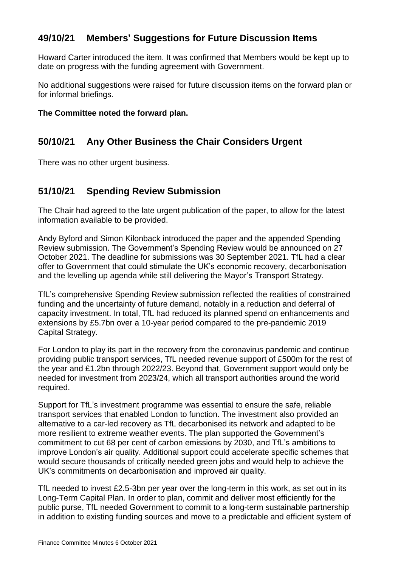# **49/10/21 Members' Suggestions for Future Discussion Items**

Howard Carter introduced the item. It was confirmed that Members would be kept up to date on progress with the funding agreement with Government.

No additional suggestions were raised for future discussion items on the forward plan or for informal briefings.

### **The Committee noted the forward plan.**

# **50/10/21 Any Other Business the Chair Considers Urgent**

There was no other urgent business.

# **51/10/21 Spending Review Submission**

The Chair had agreed to the late urgent publication of the paper, to allow for the latest information available to be provided.

Andy Byford and Simon Kilonback introduced the paper and the appended Spending Review submission. The Government's Spending Review would be announced on 27 October 2021. The deadline for submissions was 30 September 2021. TfL had a clear offer to Government that could stimulate the UK's economic recovery, decarbonisation and the levelling up agenda while still delivering the Mayor's Transport Strategy.

TfL's comprehensive Spending Review submission reflected the realities of constrained funding and the uncertainty of future demand, notably in a reduction and deferral of capacity investment. In total, TfL had reduced its planned spend on enhancements and extensions by £5.7bn over a 10-year period compared to the pre-pandemic 2019 Capital Strategy.

For London to play its part in the recovery from the coronavirus pandemic and continue providing public transport services, TfL needed revenue support of £500m for the rest of the year and £1.2bn through 2022/23. Beyond that, Government support would only be needed for investment from 2023/24, which all transport authorities around the world required.

Support for TfL's investment programme was essential to ensure the safe, reliable transport services that enabled London to function. The investment also provided an alternative to a car-led recovery as TfL decarbonised its network and adapted to be more resilient to extreme weather events. The plan supported the Government's commitment to cut 68 per cent of carbon emissions by 2030, and TfL's ambitions to improve London's air quality. Additional support could accelerate specific schemes that would secure thousands of critically needed green jobs and would help to achieve the UK's commitments on decarbonisation and improved air quality.

TfL needed to invest £2.5-3bn per year over the long-term in this work, as set out in its Long-Term Capital Plan. In order to plan, commit and deliver most efficiently for the public purse, TfL needed Government to commit to a long-term sustainable partnership in addition to existing funding sources and move to a predictable and efficient system of